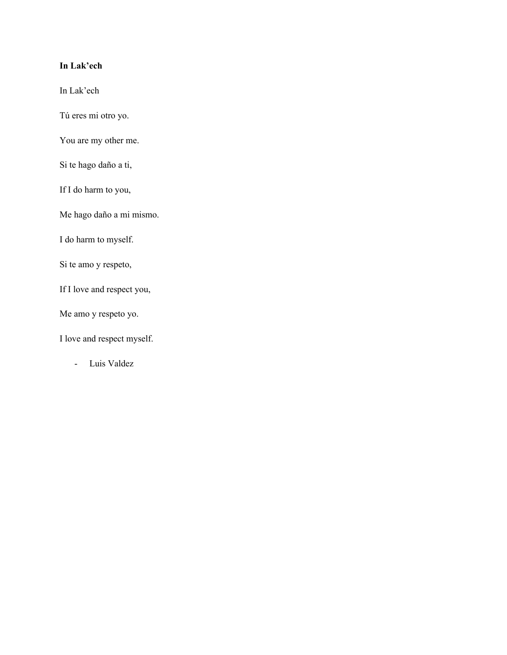### **In Lak'ech**

In Lak'ech

Tú eres mi otro yo.

You are my other me.

Si te hago daño a ti,

If I do harm to you,

Me hago daño a mi mismo.

I do harm to myself.

Si te amo y respeto,

If I love and respect you,

Me amo y respeto yo.

I love and respect myself.

- Luis Valdez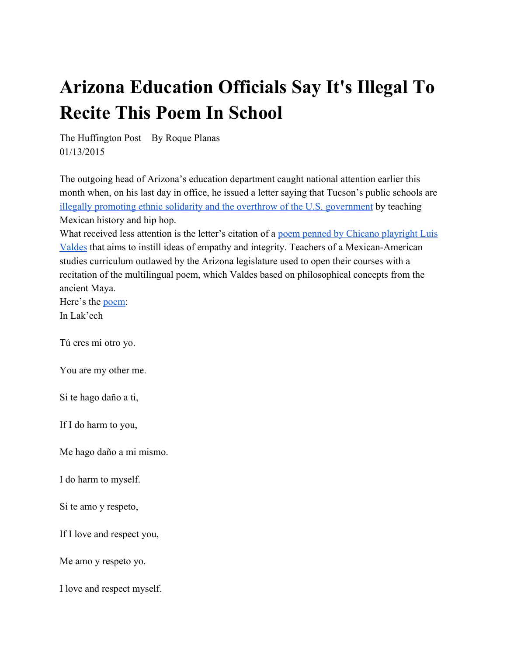# **Arizona Education Officials Say It's Illegal To Recite This Poem In School**

The Huffington Post By Roque Planas 01/13/2015

The outgoing head of Arizona's education department caught national attention earlier this month when, on his last day in office, he issued a letter saying that Tucson's public schools ar[e](http://www.huffingtonpost.com/2015/01/05/arizona-hip-hop-illegal_n_6419558.html) illegally promoting ethnic solidarity and the overthrow of the U.S. [government](http://www.huffingtonpost.com/2015/01/05/arizona-hip-hop-illegal_n_6419558.html) by teaching Mexican history and hip hop.

Wh[a](http://tucson.com/letter-of-noncompliance/pdf_cdd174de-92e9-11e4-9645-6bd77d6e8a88.html)t received less attention is the letter's citation of a poem penned by Chicano [playright](http://tucson.com/letter-of-noncompliance/pdf_cdd174de-92e9-11e4-9645-6bd77d6e8a88.html) Luis [Valdes](http://tucson.com/letter-of-noncompliance/pdf_cdd174de-92e9-11e4-9645-6bd77d6e8a88.html) that aims to instill ideas of empathy and integrity. Teachers of a Mexican-American studies curriculum outlawed by the Arizona legislature used to open their courses with a recitation of the multilingual poem, which Valdes based on philosophical concepts from the ancient Maya.

Here's the [poem:](http://vue.annenberginstitute.org/perspectives/lak%E2%80%99ech-you-are-my-other#sthash.HFZdXlBe.dpuf) In Lak'ech

Tú eres mi otro yo.

You are my other me.

Si te hago daño a ti,

If I do harm to you,

Me hago daño a mi mismo.

I do harm to myself.

Si te amo y respeto,

If I love and respect you,

Me amo y respeto yo.

I love and respect myself.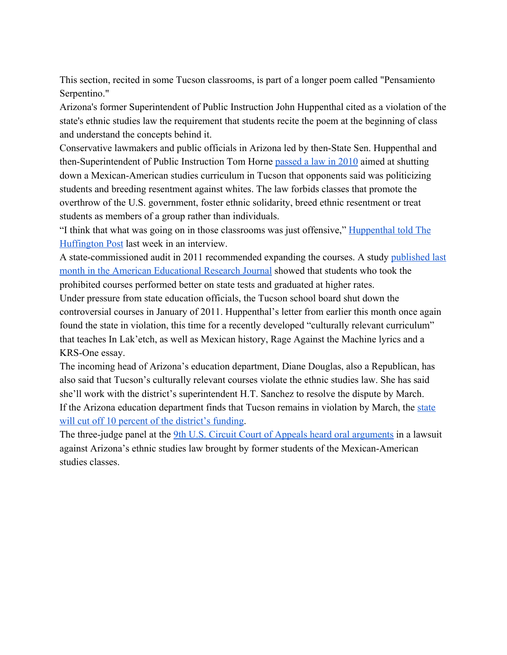This section, recited in some Tucson classrooms, is part of a longer poem called "Pensamiento Serpentino."

Arizona's former Superintendent of Public Instruction John Huppenthal cited as a violation of the state's ethnic studies law the requirement that students recite the poem at the beginning of class and understand the concepts behind it.

Conservative lawmakers and public officials in Arizona led by then-State Sen. Huppenthal and th[e](http://www.azleg.gov/legtext/49leg/2r/bills/hb2281s.pdf)n-Superintendent of Public Instruction Tom Horne [passed](http://www.azleg.gov/legtext/49leg/2r/bills/hb2281s.pdf) a law in 2010 aimed at shutting down a Mexican-American studies curriculum in Tucson that opponents said was politicizing students and breeding resentment against whites. The law forbids classes that promote the overthrow of the U.S. government, foster ethnic solidarity, breed ethnic resentment or treat students as members of a group rather than individuals.

"I think that what was going on in those classrooms was just offensive," [Huppenthal](http://www.huffingtonpost.com/2015/01/09/john-huppenthal-spanish_n_6431844.html) told The [Huffington](http://www.huffingtonpost.com/2015/01/09/john-huppenthal-spanish_n_6431844.html) Post last week in an interview.

A state-commissioned audit in 2011 recommended expanding the courses. A study [published](http://www.huffingtonpost.com/2014/12/01/mexican-american-studies-student-achievement_n_6249592.html?1421108833) last month in the American [Educational](http://www.huffingtonpost.com/2014/12/01/mexican-american-studies-student-achievement_n_6249592.html?1421108833) Research Journal showed that students who took the prohibited courses performed better on state tests and graduated at higher rates.

Under pressure from state education officials, the Tucson school board shut down the controversial courses in January of 2011. Huppenthal's letter from earlier this month once again found the state in violation, this time for a recently developed "culturally relevant curriculum" that teaches In Lak'etch, as well as Mexican history, Rage Against the Machine lyrics and a KRS-One essay.

The incoming head of Arizona's education department, Diane Douglas, also a Republican, has also said that Tucson's culturally relevant courses violate the ethnic studies law. She has said she'll work with the district's superintendent H.T. Sanchez to resolve the dispute by March. If the Arizona education department finds that Tucson remains in violation by March, the [state](http://www.huffingtonpost.com/2015/01/12/mexican-american-studies-_n_6459696.html?1421119017) will cut off 10 percent of the [district's](http://www.huffingtonpost.com/2015/01/12/mexican-american-studies-_n_6459696.html?1421119017) funding.

Th[e](http://www.huffingtonpost.com/2015/01/12/mexican-american-studies-_n_6459696.html?1421119017) three-judge panel at the 9th U.S. Circuit Court of Appeals heard oral [arguments](http://www.huffingtonpost.com/2015/01/12/mexican-american-studies-_n_6459696.html?1421119017) in a lawsuit against Arizona's ethnic studies law brought by former students of the Mexican-American studies classes.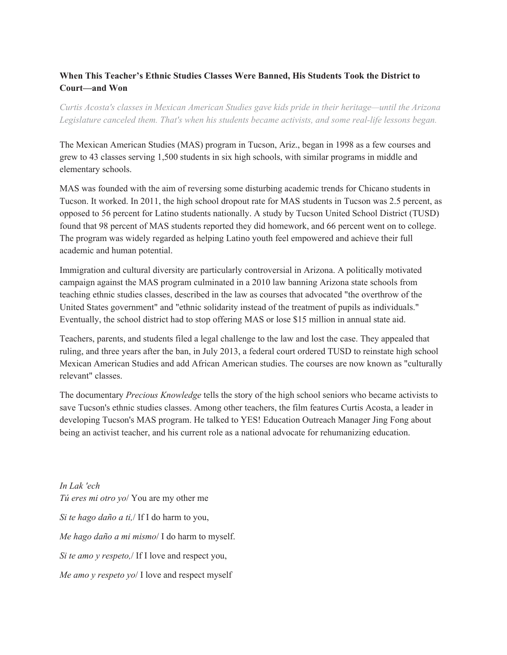## **When This Teacher's Ethnic Studies Classes Were Banned, His Students Took the District to Court—and Won**

*Curtis Acosta's classes in Mexican American Studies gave kids pride in their heritage—until the Arizona Legislature canceled them. That's when his students became activists, and some reallife lessons began.*

The Mexican American Studies (MAS) program in Tucson, Ariz., began in 1998 as a few courses and grew to 43 classes serving 1,500 students in six high schools, with similar programs in middle and elementary schools.

MAS was founded with the aim of reversing some disturbing academic trends for Chicano students in Tucson. It worked. In 2011, the high school dropout rate for MAS students in Tucson was 2.5 percent, as opposed to 56 percent for Latino students nationally. A study by Tucson United School District (TUSD) found that 98 percent of MAS students reported they did homework, and 66 percent went on to college. The program was widely regarded as helping Latino youth feel empowered and achieve their full academic and human potential.

Immigration and cultural diversity are particularly controversial in Arizona. A politically motivated campaign against the MAS program culminated in a 2010 law banning Arizona state schools from teaching ethnic studies classes, described in the law as courses that advocated "the overthrow of the United States government" and "ethnic solidarity instead of the treatment of pupils as individuals." Eventually, the school district had to stop offering MAS or lose \$15 million in annual state aid.

Teachers, parents, and students filed a legal challenge to the law and lost the case. They appealed that ruling, and three years after the ban, in July 2013, a federal court ordered TUSD to reinstate high school Mexican American Studies and add African American studies. The courses are now known as "culturally relevant" classes.

The documentary *Precious Knowledge* tells the story of the high school seniors who became activists to save Tucson's ethnic studies classes. Among other teachers, the film features Curtis Acosta, a leader in developing Tucson's MAS program. He talked to YES! Education Outreach Manager Jing Fong about being an activist teacher, and his current role as a national advocate for rehumanizing education.

*In Lak 'ech Tú eres mi otro yo*/ You are my other me *Si te hago daño a ti,*/ If I do harm to you, *Me hago daño a mi mismo*/ I do harm to myself. *Si te amo y respeto,*/ If I love and respect you, *Me amo y respeto yo*/ I love and respect myself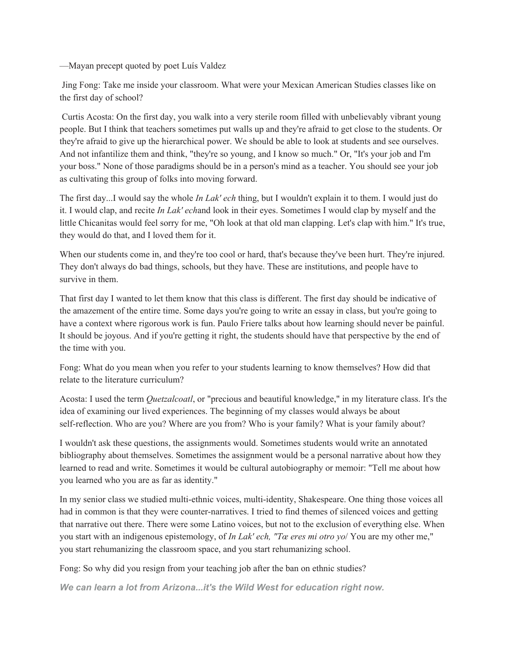—Mayan precept quoted by poet Luís Valdez

Jing Fong: Take me inside your classroom. What were your Mexican American Studies classes like on the first day of school?

Curtis Acosta: On the first day, you walk into a very sterile room filled with unbelievably vibrant young people. But I think that teachers sometimes put walls up and they're afraid to get close to the students. Or they're afraid to give up the hierarchical power. We should be able to look at students and see ourselves. And not infantilize them and think, "they're so young, and I know so much." Or, "It's your job and I'm your boss." None of those paradigms should be in a person's mind as a teacher. You should see your job as cultivating this group of folks into moving forward.

The first day...I would say the whole *In Lak' ech* thing, but I wouldn't explain it to them. I would just do it. I would clap, and recite *In Lak' ech*and look in their eyes. Sometimes I would clap by myself and the little Chicanitas would feel sorry for me, "Oh look at that old man clapping. Let's clap with him." It's true, they would do that, and I loved them for it.

When our students come in, and they're too cool or hard, that's because they've been hurt. They're injured. They don't always do bad things, schools, but they have. These are institutions, and people have to survive in them.

That first day I wanted to let them know that this class is different. The first day should be indicative of the amazement of the entire time. Some days you're going to write an essay in class, but you're going to have a context where rigorous work is fun. Paulo Friere talks about how learning should never be painful. It should be joyous. And if you're getting it right, the students should have that perspective by the end of the time with you.

Fong: What do you mean when you refer to your students learning to know themselves? How did that relate to the literature curriculum?

Acosta: I used the term *Quetzalcoatl*, or "precious and beautiful knowledge," in my literature class. It's the idea of examining our lived experiences. The beginning of my classes would always be about self-reflection. Who are you? Where are you from? Who is your family? What is your family about?

I wouldn't ask these questions, the assignments would. Sometimes students would write an annotated bibliography about themselves. Sometimes the assignment would be a personal narrative about how they learned to read and write. Sometimes it would be cultural autobiography or memoir: "Tell me about how you learned who you are as far as identity."

In my senior class we studied multi-ethnic voices, multi-identity, Shakespeare. One thing those voices all had in common is that they were counter-narratives. I tried to find themes of silenced voices and getting that narrative out there. There were some Latino voices, but not to the exclusion of everything else. When you start with an indigenous epistemology, of *In Lak' ech, "Tœ eres mi otro yo*/ You are my other me," you start rehumanizing the classroom space, and you start rehumanizing school.

Fong: So why did you resign from your teaching job after the ban on ethnic studies?

*We can learn a lot from Arizona...it's the Wild West for education right now.*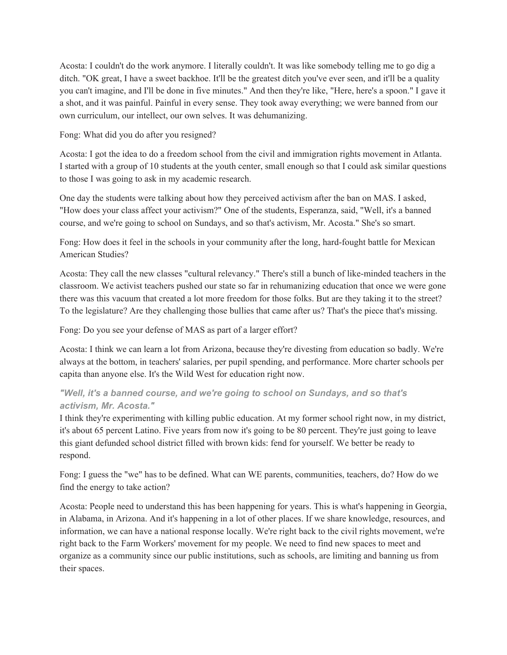Acosta: I couldn't do the work anymore. I literally couldn't. It was like somebody telling me to go dig a ditch. "OK great, I have a sweet backhoe. It'll be the greatest ditch you've ever seen, and it'll be a quality you can't imagine, and I'll be done in five minutes." And then they're like, "Here, here's a spoon." I gave it a shot, and it was painful. Painful in every sense. They took away everything; we were banned from our own curriculum, our intellect, our own selves. It was dehumanizing.

#### Fong: What did you do after you resigned?

Acosta: I got the idea to do a freedom school from the civil and immigration rights movement in Atlanta. I started with a group of 10 students at the youth center, small enough so that I could ask similar questions to those I was going to ask in my academic research.

One day the students were talking about how they perceived activism after the ban on MAS. I asked, "How does your class affect your activism?" One of the students, Esperanza, said, "Well, it's a banned course, and we're going to school on Sundays, and so that's activism, Mr. Acosta." She's so smart.

Fong: How does it feel in the schools in your community after the long, hard-fought battle for Mexican American Studies?

Acosta: They call the new classes "cultural relevancy." There's still a bunch of like-minded teachers in the classroom. We activist teachers pushed our state so far in rehumanizing education that once we were gone there was this vacuum that created a lot more freedom for those folks. But are they taking it to the street? To the legislature? Are they challenging those bullies that came after us? That's the piece that's missing.

#### Fong: Do you see your defense of MAS as part of a larger effort?

Acosta: I think we can learn a lot from Arizona, because they're divesting from education so badly. We're always at the bottom, in teachers' salaries, per pupil spending, and performance. More charter schools per capita than anyone else. It's the Wild West for education right now.

## *"Well, it's a banned course, and we're going to school on Sundays, and so that's activism, Mr. Acosta."*

I think they're experimenting with killing public education. At my former school right now, in my district, it's about 65 percent Latino. Five years from now it's going to be 80 percent. They're just going to leave this giant defunded school district filled with brown kids: fend for yourself. We better be ready to respond.

Fong: I guess the "we" has to be defined. What can WE parents, communities, teachers, do? How do we find the energy to take action?

Acosta: People need to understand this has been happening for years. This is what's happening in Georgia, in Alabama, in Arizona. And it's happening in a lot of other places. If we share knowledge, resources, and information, we can have a national response locally. We're right back to the civil rights movement, we're right back to the Farm Workers' movement for my people. We need to find new spaces to meet and organize as a community since our public institutions, such as schools, are limiting and banning us from their spaces.